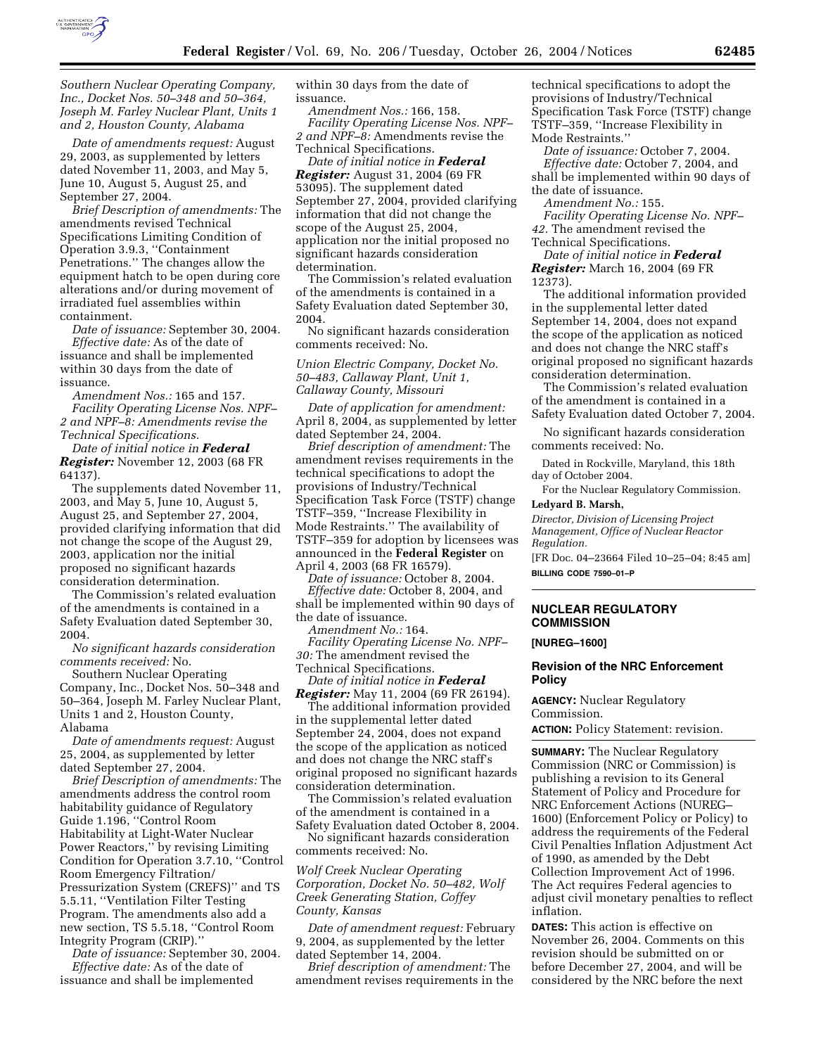

*Southern Nuclear Operating Company, Inc., Docket Nos. 50–348 and 50–364, Joseph M. Farley Nuclear Plant, Units 1 and 2, Houston County, Alabama* 

*Date of amendments request:* August 29, 2003, as supplemented by letters dated November 11, 2003, and May 5, June 10, August 5, August 25, and September 27, 2004.

*Brief Description of amendments:* The amendments revised Technical Specifications Limiting Condition of Operation 3.9.3, ''Containment Penetrations.'' The changes allow the equipment hatch to be open during core alterations and/or during movement of irradiated fuel assemblies within containment.

*Date of issuance:* September 30, 2004. *Effective date:* As of the date of issuance and shall be implemented within 30 days from the date of issuance.

*Amendment Nos.:* 165 and 157. *Facility Operating License Nos. NPF– 2 and NPF–8: Amendments revise the Technical Specifications.*

*Date of initial notice in Federal Register:* November 12, 2003 (68 FR 64137).

The supplements dated November 11, 2003, and May 5, June 10, August 5, August 25, and September 27, 2004, provided clarifying information that did not change the scope of the August 29, 2003, application nor the initial proposed no significant hazards consideration determination.

The Commission's related evaluation of the amendments is contained in a Safety Evaluation dated September 30, 2004.

*No significant hazards consideration comments received:* No.

Southern Nuclear Operating Company, Inc., Docket Nos. 50–348 and 50–364, Joseph M. Farley Nuclear Plant, Units 1 and 2, Houston County, Alabama

*Date of amendments request:* August 25, 2004, as supplemented by letter dated September 27, 2004.

*Brief Description of amendments:* The amendments address the control room habitability guidance of Regulatory Guide 1.196, ''Control Room Habitability at Light-Water Nuclear Power Reactors,'' by revising Limiting Condition for Operation 3.7.10, ''Control Room Emergency Filtration/ Pressurization System (CREFS)'' and TS 5.5.11, ''Ventilation Filter Testing Program. The amendments also add a new section, TS 5.5.18, ''Control Room Integrity Program (CRIP).''

*Date of issuance:* September 30, 2004. *Effective date:* As of the date of issuance and shall be implemented

within 30 days from the date of issuance.

*Amendment Nos.:* 166, 158. *Facility Operating License Nos. NPF– 2 and NPF–8:* Amendments revise the Technical Specifications.

*Date of initial notice in Federal Register:* August 31, 2004 (69 FR 53095). The supplement dated September 27, 2004, provided clarifying information that did not change the scope of the August 25, 2004, application nor the initial proposed no significant hazards consideration determination.

The Commission's related evaluation of the amendments is contained in a Safety Evaluation dated September 30, 2004.

No significant hazards consideration comments received: No.

*Union Electric Company, Docket No. 50–483, Callaway Plant, Unit 1, Callaway County, Missouri*

*Date of application for amendment:* April 8, 2004, as supplemented by letter dated September 24, 2004.

*Brief description of amendment:* The amendment revises requirements in the technical specifications to adopt the provisions of Industry/Technical Specification Task Force (TSTF) change TSTF–359, ''Increase Flexibility in Mode Restraints.'' The availability of TSTF–359 for adoption by licensees was announced in the **Federal Register** on April 4, 2003 (68 FR 16579).

*Date of issuance:* October 8, 2004.

*Effective date:* October 8, 2004, and shall be implemented within 90 days of the date of issuance.

*Amendment No.:* 164.

*Facility Operating License No. NPF– 30:* The amendment revised the Technical Specifications.

*Date of initial notice in Federal Register:* May 11, 2004 (69 FR 26194).

The additional information provided in the supplemental letter dated September 24, 2004, does not expand the scope of the application as noticed and does not change the NRC staff's original proposed no significant hazards consideration determination.

The Commission's related evaluation of the amendment is contained in a Safety Evaluation dated October 8, 2004.

No significant hazards consideration comments received: No.

*Wolf Creek Nuclear Operating Corporation, Docket No. 50–482, Wolf Creek Generating Station, Coffey County, Kansas* 

*Date of amendment request:* February 9, 2004, as supplemented by the letter dated September 14, 2004.

*Brief description of amendment:* The amendment revises requirements in the

technical specifications to adopt the provisions of Industry/Technical Specification Task Force (TSTF) change TSTF–359, ''Increase Flexibility in Mode Restraints.''

*Date of issuance:* October 7, 2004. *Effective date:* October 7, 2004, and shall be implemented within 90 days of the date of issuance.

*Amendment No.:* 155.

*Facility Operating License No. NPF–*

*42.* The amendment revised the Technical Specifications.

*Date of initial notice in Federal Register:* March 16, 2004 (69 FR 12373).

The additional information provided in the supplemental letter dated September 14, 2004, does not expand the scope of the application as noticed and does not change the NRC staff's original proposed no significant hazards consideration determination.

The Commission's related evaluation of the amendment is contained in a Safety Evaluation dated October 7, 2004.

No significant hazards consideration comments received: No.

Dated in Rockville, Maryland, this 18th day of October 2004.

For the Nuclear Regulatory Commission. **Ledyard B. Marsh,** 

# *Director, Division of Licensing Project*

*Management, Office of Nuclear Reactor Regulation.*

[FR Doc. 04–23664 Filed 10–25–04; 8:45 am] **BILLING CODE 7590–01–P**

### **NUCLEAR REGULATORY COMMISSION**

**[NUREG–1600]** 

#### **Revision of the NRC Enforcement Policy**

**AGENCY:** Nuclear Regulatory Commission.

**ACTION:** Policy Statement: revision.

**SUMMARY:** The Nuclear Regulatory Commission (NRC or Commission) is publishing a revision to its General Statement of Policy and Procedure for NRC Enforcement Actions (NUREG– 1600) (Enforcement Policy or Policy) to address the requirements of the Federal Civil Penalties Inflation Adjustment Act of 1990, as amended by the Debt Collection Improvement Act of 1996. The Act requires Federal agencies to adjust civil monetary penalties to reflect inflation.

**DATES:** This action is effective on November 26, 2004. Comments on this revision should be submitted on or before December 27, 2004, and will be considered by the NRC before the next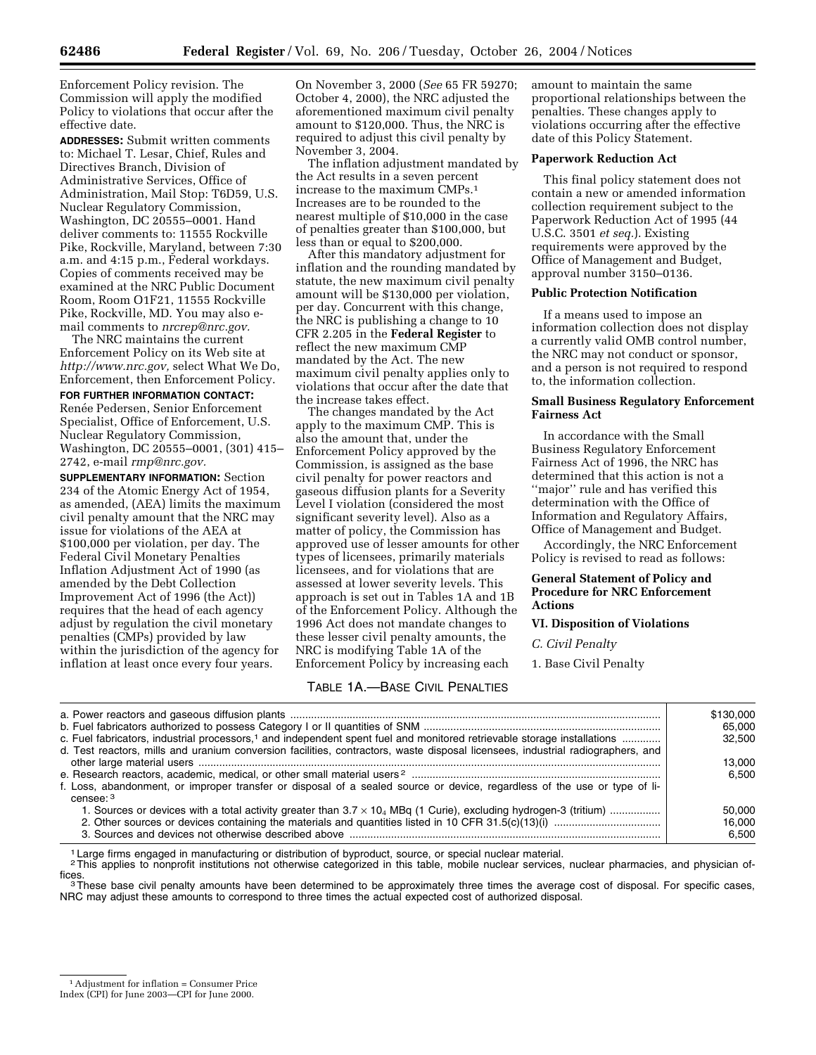Enforcement Policy revision. The Commission will apply the modified Policy to violations that occur after the effective date.

**ADDRESSES:** Submit written comments to: Michael T. Lesar, Chief, Rules and Directives Branch, Division of Administrative Services, Office of Administration, Mail Stop: T6D59, U.S. Nuclear Regulatory Commission, Washington, DC 20555–0001. Hand deliver comments to: 11555 Rockville Pike, Rockville, Maryland, between 7:30 a.m. and 4:15 p.m., Federal workdays. Copies of comments received may be examined at the NRC Public Document Room, Room O1F21, 11555 Rockville Pike, Rockville, MD. You may also email comments to *nrcrep@nrc.gov.*

The NRC maintains the current Enforcement Policy on its Web site at *http://www.nrc.gov,* select What We Do, Enforcement, then Enforcement Policy.

**FOR FURTHER INFORMATION CONTACT:** Renée Pedersen, Senior Enforcement Specialist, Office of Enforcement, U.S. Nuclear Regulatory Commission, Washington, DC 20555–0001, (301) 415– 2742, e-mail *rmp@nrc.gov.*

**SUPPLEMENTARY INFORMATION:** Section 234 of the Atomic Energy Act of 1954, as amended, (AEA) limits the maximum civil penalty amount that the NRC may issue for violations of the AEA at \$100,000 per violation, per day. The Federal Civil Monetary Penalties Inflation Adjustment Act of 1990 (as amended by the Debt Collection Improvement Act of 1996 (the Act)) requires that the head of each agency adjust by regulation the civil monetary penalties (CMPs) provided by law within the jurisdiction of the agency for inflation at least once every four years.

On November 3, 2000 (*See* 65 FR 59270; October 4, 2000), the NRC adjusted the aforementioned maximum civil penalty amount to \$120,000. Thus, the NRC is required to adjust this civil penalty by November 3, 2004.

The inflation adjustment mandated by the Act results in a seven percent increase to the maximum CMPs.1 Increases are to be rounded to the nearest multiple of \$10,000 in the case of penalties greater than \$100,000, but less than or equal to \$200,000.

After this mandatory adjustment for inflation and the rounding mandated by statute, the new maximum civil penalty amount will be \$130,000 per violation, per day. Concurrent with this change, the NRC is publishing a change to  $10$ CFR 2.205 in the **Federal Register** to reflect the new maximum CMP mandated by the Act. The new maximum civil penalty applies only to violations that occur after the date that the increase takes effect.

The changes mandated by the Act apply to the maximum CMP. This is also the amount that, under the Enforcement Policy approved by the Commission, is assigned as the base civil penalty for power reactors and gaseous diffusion plants for a Severity Level I violation (considered the most significant severity level). Also as a matter of policy, the Commission has approved use of lesser amounts for other types of licensees, primarily materials licensees, and for violations that are assessed at lower severity levels. This approach is set out in Tables 1A and 1B of the Enforcement Policy. Although the 1996 Act does not mandate changes to these lesser civil penalty amounts, the NRC is modifying Table 1A of the Enforcement Policy by increasing each

### TABLE 1A.—BASE CIVIL PENALTIES

amount to maintain the same proportional relationships between the penalties. These changes apply to violations occurring after the effective date of this Policy Statement.

#### **Paperwork Reduction Act**

This final policy statement does not contain a new or amended information collection requirement subject to the Paperwork Reduction Act of 1995 (44 U.S.C. 3501 *et seq.*). Existing requirements were approved by the Office of Management and Budget, approval number 3150–0136.

#### **Public Protection Notification**

If a means used to impose an information collection does not display a currently valid OMB control number, the NRC may not conduct or sponsor, and a person is not required to respond to, the information collection.

### **Small Business Regulatory Enforcement Fairness Act**

In accordance with the Small Business Regulatory Enforcement Fairness Act of 1996, the NRC has determined that this action is not a ''major'' rule and has verified this determination with the Office of Information and Regulatory Affairs, Office of Management and Budget.

Accordingly, the NRC Enforcement Policy is revised to read as follows:

#### **General Statement of Policy and Procedure for NRC Enforcement Actions**

#### **VI. Disposition of Violations**

*C. Civil Penalty* 

1. Base Civil Penalty

|                                                                                                                                                    | \$130,000 |
|----------------------------------------------------------------------------------------------------------------------------------------------------|-----------|
|                                                                                                                                                    | 65,000    |
| c. Fuel fabricators, industrial processors, <sup>1</sup> and independent spent fuel and monitored retrievable storage installations                | 32.500    |
| d. Test reactors, mills and uranium conversion facilities, contractors, waste disposal licensees, industrial radiographers, and                    |           |
|                                                                                                                                                    | 13.000    |
|                                                                                                                                                    | 6.500     |
| f. Loss, abandonment, or improper transfer or disposal of a sealed source or device, regardless of the use or type of li-<br>$censec$ <sup>3</sup> |           |
| 1. Sources or devices with a total activity greater than $3.7 \times 10_4$ MBq (1 Curie), excluding hydrogen-3 (tritium)                           | 50.000    |
|                                                                                                                                                    | 16.000    |
|                                                                                                                                                    | 6.500     |

Large firms engaged in manufacturing or distribution of byproduct, source, or special nuclear material.

<sup>2</sup>This applies to nonprofit institutions not otherwise categorized in this table, mobile nuclear services, nuclear pharmacies, and physician of-<br>fices.

<sup>3</sup>These base civil penalty amounts have been determined to be approximately three times the average cost of disposal. For specific cases, NRC may adjust these amounts to correspond to three times the actual expected cost of authorized disposal.

Index (CPI) for June 2003—CPI for June 2000.